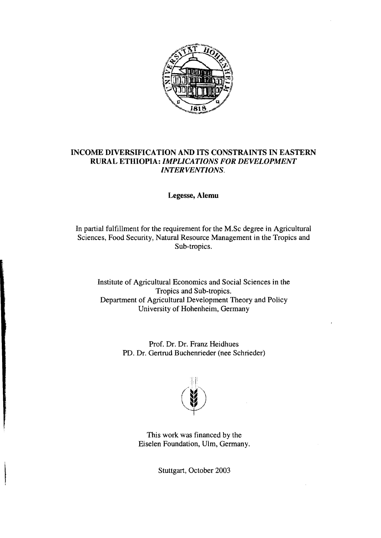

## INCOME DIVERSIFICATION AND ITS CONSTRAINTS IN EASTERN RURAL ETHIOPIA: *IMPLICATIONS FOR DEVELOPMENT INTERVENTIONS.*

Legesse, Alemu

In partial fulfillment for the requirement for the M.Se degree in Agrieultural Sciences, Food Security, Natural Resource Management in the Tropics and Sub-tropics.

Institute of Agrieultural Eeonomies and Social Seienees in the Tropics and Sub-tropics. Department of Agrieultural Development Theory and Poliey University of Hohenheim, Germany

> Prof. Dr. Dr. Franz Heidhues PD. Dr. Gertrud Buehenrieder (nee Sehrieder)



This work was finaneed by the Eiselen Foundation, UIm, Germany.

Stuttgart, Oetober 2003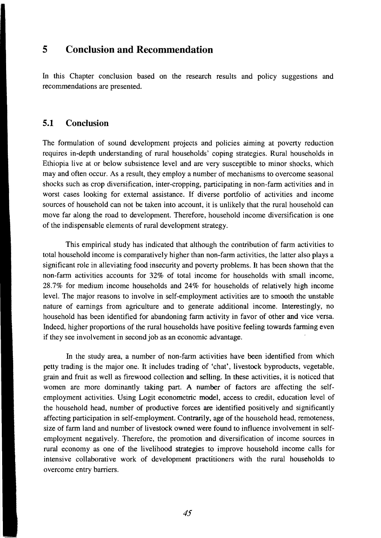## **5 Conclusion and Recommendation**

In this Chapter conclusion based on the research results and policy suggestions and recommendations are presented.

## **5.1 Conclusion**

The formulation of sound development projects and policies aiming at poverty reduction requires in-depth understanding of rural households' coping strategies. Rural households in Ethiopia live at or below subsistence level and are very susceptible to minor shocks, which may and often occur. As a result, they employ a number of mechanisms to overcome seasonal shocks such as crop diversification, inter-cropping, participating in non-farm activities and in worst cases looking for external assistance. If diverse portfolio of activities and income sources of household can not be taken into account, it is unlikely that the rural household can move far along the road to development. Therefore, household income diversification is one of the indispensable elements of rural development strategy.

This empirical study has indicated that although the contribution of farm activities to total household income is comparatively higher than non-farm activities, the latter also plays a significant role in alleviating food insecurity and poverty problems. It has been shown that the non-farm activities accounts for 32% of total income for households with small income, 28.7% for medium income households and 24% for households of relatively high income leveL The major reasons to involve in self-employment activities are to smooth the unstable nature of earnings from agriculture and to generate additional income. Interestingly, no household has been identified for abandoning farm activity in favor of other and vice versa. Indeed, higher proportions of the rural households have positi ve feeling towards farming even if they see involvement in secondjob as an economic advantage.

In the study area, a number of non-farm activities have been identified from which petty trading is the major one. It includes trading of 'chat', livestock byproducts, vegetable, grain and fruit as weIl as firewood collection and selling. In these activities, it is noticed that women are more dominantly taking part. A number of factors are affecting the selfemployment activities. Using Logit econometric model, access to credit, education level of the household head, number of productive forces are identified positively and significantly affecting participation in self-employment. Contrarily, age of the household head, remoteness, size of farm land and number of livestock owned were found to influence involvement in selfemployment negatively. Therefore, the promotion and diversification of income sources in rural economy as one of the livelihood strategies to improve household income calls for intensive collaborative work of development practitioners with the rural households to overcome entry barriers.